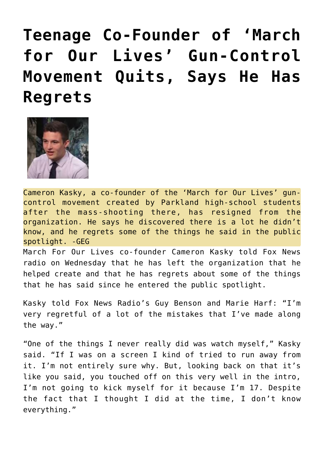## **[Teenage Co-Founder of 'March](https://needtoknow.news/2018/09/teenage-co-founder-march-lives-gun-control-movement-quits-says-regrets/) [for Our Lives' Gun-Control](https://needtoknow.news/2018/09/teenage-co-founder-march-lives-gun-control-movement-quits-says-regrets/) [Movement Quits, Says He Has](https://needtoknow.news/2018/09/teenage-co-founder-march-lives-gun-control-movement-quits-says-regrets/) [Regrets](https://needtoknow.news/2018/09/teenage-co-founder-march-lives-gun-control-movement-quits-says-regrets/)**



Cameron Kasky, a co-founder of the 'March for Our Lives' guncontrol movement created by Parkland high-school students after the mass-shooting there, has resigned from the organization. He says he discovered there is a lot he didn't know, and he regrets some of the things he said in the public spotlight. -GEG

March For Our Lives co-founder Cameron Kasky told Fox News radio on Wednesday that he has left the organization that he helped create and that he has regrets about some of the things that he has said since he entered the public spotlight.

Kasky [told](https://radio.foxnews.com/2018/09/19/co-founder-of-march-for-our-lives-cameron-kasky-explains-the-mistakes-hes-made-why-he-left-march-for-our-lives/) Fox News Radio's Guy Benson and Marie Harf: "I'm very regretful of a lot of the mistakes that I've made along the way."

"One of the things I never really did was watch myself," Kasky said. "If I was on a screen I kind of tried to run away from it. I'm not entirely sure why. But, looking back on that it's like you said, you touched off on this very well in the intro, I'm not going to kick myself for it because I'm 17. Despite the fact that I thought I did at the time, I don't know everything."